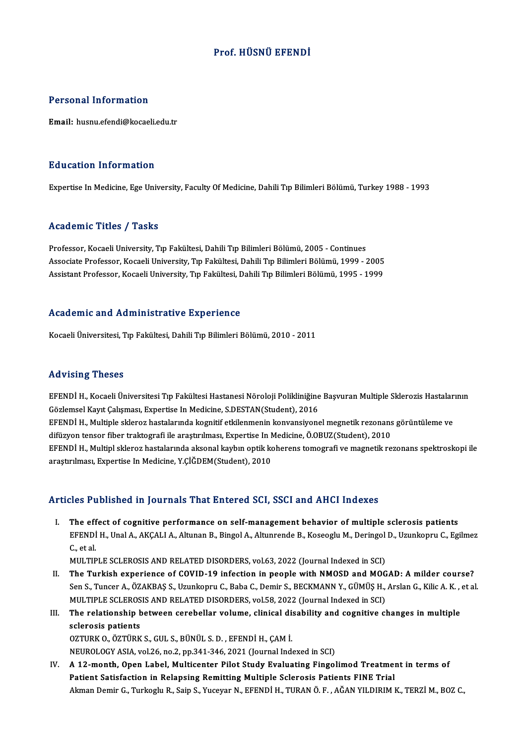## Prof.HÜSNÜ EFENDİ

## Personal Information

Email: husnu.efendi@kocaeli.edu.tr

## Education Information

Expertise In Medicine, Ege University, Faculty Of Medicine, Dahili Tıp Bilimleri Bölümü, Turkey 1988 - 1993

## Academic Titles / Tasks

Professor, Kocaeli University, Tıp Fakültesi, Dahili Tıp Bilimleri Bölümü, 2005 - Continues Associate Articus 7 - 1 1912<br>Professor, Kocaeli University, Tıp Fakültesi, Dahili Tıp Bilimleri Bölümü, 2005 - Continues<br>Associate Professor, Kocaeli University, Tıp Fakültesi, Dahili Tıp Bilimleri Bölümü, 1999 - 2005<br>Assi Professor, Kocaeli University, Tıp Fakültesi, Dahili Tıp Bilimleri Bölümü, 2005 - Continues<br>Associate Professor, Kocaeli University, Tıp Fakültesi, Dahili Tıp Bilimleri Bölümü, 1999 - 2005<br>Assistant Professor, Kocaeli Univ Assistant Professor, Kocaeli University, Tıp Fakültesi, Dahili Tıp Bilimleri Bölümü, 1995 - 1999<br>Academic and Administrative Experience

Kocaeli Üniversitesi, Tıp Fakültesi, Dahili Tıp Bilimleri Bölümü, 2010 - 2011

### Advising Theses

EFENDİ H., Kocaeli Üniversitesi Tıp Fakültesi Hastanesi Nöroloji Polikliniğine Başvuran Multiple Sklerozis Hastalarının Gözlemsel Kayıt Çalışması, Expertise In Medicine, S.DESTAN(Student), 2016 EFENDİ H., Kocaeli Üniversitesi Tıp Fakültesi Hastanesi Nöroloji Polikliniğine Başvuran Multiple Sklerozis Hastalar<br>Gözlemsel Kayıt Çalışması, Expertise In Medicine, S.DESTAN(Student), 2016<br>EFENDİ H., Multiple skleroz hast Gözlemsel Kayıt Çalışması, Expertise In Medicine, S.DESTAN(Student), 2016<br>EFENDİ H., Multiple skleroz hastalarında kognitif etkilenmenin konvansiyonel megnetik rezonans<br>difüzyon tensor fiber traktografi ile araştırılması, EFENDİ H., Multiple skleroz hastalarında kognitif etkilenmenin konvansiyonel megnetik rezonans görüntüleme ve<br>difüzyon tensor fiber traktografi ile araştırılması, Expertise In Medicine, Ö.OBUZ(Student), 2010<br>EFENDİ H., Mul difüzyon tensor fiber traktografi ile araştırılması, Expertise In M<br>EFENDİ H., Multipl skleroz hastalarında aksonal kaybın optik ko<br>araştırılması, Expertise In Medicine, Y.ÇİĞDEM(Student), 2010

# araștırılması, Expertise In Medicine, Y.ÇİĞDEM(Student), 2010<br>Articles Published in Journals That Entered SCI, SSCI and AHCI Indexes

rticles Published in Journals That Entered SCI, SSCI and AHCI Indexes<br>I. The effect of cognitive performance on self-management behavior of multiple sclerosis patients<br>ERENDLY UnaLA AKCALLA Altunan B. Bingel A. Altungande EFENDÍ H., Unal A., AKÇALI A., Altunan B., Bingol A., Altunrende B., Koseoglu M., Deringol D., Uzunkopru C., Egilmez<br>EFENDİ H., Unal A., AKÇALI A., Altunan B., Bingol A., Altunrende B., Koseoglu M., Deringol D., Uzunkopru The eff<br>EFENDI<br>C., et al.<br>MUI TIP EFENDİ H., Unal A., AKÇALI A., Altunan B., Bingol A., Altunrende B., Koseoglu M., Deringol<br>C., et al.<br>MULTIPLE SCLEROSIS AND RELATED DISORDERS, vol.63, 2022 (Journal Indexed in SCI)<br>The Turkish experience of COVID 19 infec

C., et al.<br>I . MULTIPLE SCLEROSIS AND RELATED DISORDERS, vol.63, 2022 (Journal Indexed in SCI)<br>II. The Turkish experience of COVID-19 infection in people with NMOSD and MOGAD: A milder course?<br>Son S. Tunger A. ÖZAKRAS S. H MULTIPLE SCLEROSIS AND RELATED DISORDERS, vol.63, 2022 (Journal Indexed in SCI)<br>The Turkish experience of COVID-19 infection in people with NMOSD and MOGAD: A milder course?<br>Sen S., Tuncer A., ÖZAKBAŞ S., Uzunkopru C., Bab The Turkish experience of COVID-19 infection in people with NMOSD and MOG<br>Sen S., Tuncer A., ÖZAKBAŞ S., Uzunkopru C., Baba C., Demir S., BECKMANN Y., GÜMÜŞ H.,<br>MULTIPLE SCLEROSIS AND RELATED DISORDERS, vol.58, 2022 (Journ Sen S., Tuncer A., ÖZAKBAŞ S., Uzunkopru C., Baba C., Demir S., BECKMANN Y., GÜMÜŞ H., Arslan G., Kilic A. K.,<br>MULTIPLE SCLEROSIS AND RELATED DISORDERS, vol.58, 2022 (Journal Indexed in SCI)<br>III. The relationship between c

## MULTIPLE SCLEROS<br>The relationship<br>sclerosis patients<br>OZTUPK O ÖZTÜPK The relationship between cerebellar volume, clinical disentensis patients<br>OZTURK O., ÖZTÜRK S., GUL S., BÜNÜL S. D. , EFENDİ H., ÇAM İ.<br>NEUPOLOCY ASLA vel 26 no 2 np 341 346 3031 (Journal Ind sclerosis patients<br>OZTURK O., ÖZTÜRK S., GUL S., BÜNÜL S. D. , EFENDİ H., ÇAM İ.<br>NEUROLOGY ASIA, vol.26, no.2, pp.341-346, 2021 (Journal Indexed in SCI)

OZTURK O., ÖZTÜRK S., GUL S., BÜNÜL S. D., EFENDİ H., ÇAM İ.<br>NEUROLOGY ASIA, vol.26, no.2, pp.341-346, 2021 (Journal Indexed in SCI)<br>IV. A 12-month, Open Label, Multicenter Pilot Study Evaluating Fingolimod Treatment i NEUROLOGY ASIA, vol.26, no.2, pp.341-346, 2021 (Journal Indexed in SCI)<br>A 12-month, Open Label, Multicenter Pilot Study Evaluating Fingolimod Treatmen<br>Patient Satisfaction in Relapsing Remitting Multiple Sclerosis Patients Patient Satisfaction in Relapsing Remitting Multiple Sclerosis Patients FINE Trial<br>Akman Demir G., Turkoglu R., Saip S., Yuceyar N., EFENDİ H., TURAN Ö. F. , AĞAN YILDIRIM K., TERZİ M., BOZ C.,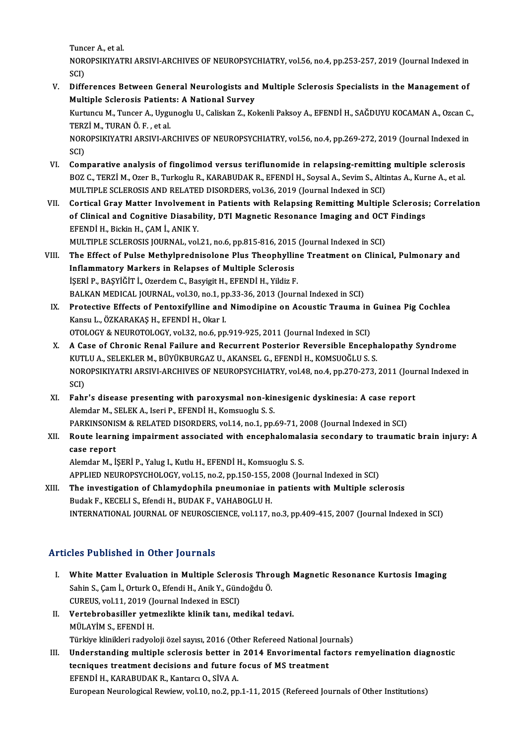TuncerA.,etal.

Tuncer A., et al.<br>NOROPSIKIYATRI ARSIVI-ARCHIVES OF NEUROPSYCHIATRY, vol.56, no.4, pp.253-257, 2019 (Journal Indexed in<br>SCD Tunc<br>NOR<br>SCI)<br>Diffe NOROPSIKIYATRI ARSIVI-ARCHIVES OF NEUROPSYCHIATRY, vol.56, no.4, pp.253-257, 2019 (Journal Indexed in SCI)<br>SCI)<br>V. Differences Between General Neurologists and Multiple Sclerosis Specialists in the Management of<br>Multiple S

SCI)<br>Differences Between General Neurologists and<br>Multiple Sclerosis Patients: A National Survey<br>Kurtungu M. Tunger A. Urgungglu II. Caliskan 7, Ko Differences Between General Neurologists and Multiple Sclerosis Specialists in the Management of<br>Multiple Sclerosis Patients: A National Survey<br>Kurtuncu M., Tuncer A., Uygunoglu U., Caliskan Z., Kokenli Paksoy A., EFENDİ H

Multiple Sclerosis Patients: A National Survey<br>Kurtuncu M., Tuncer A., Uygunoglu U., Caliskan Z., Kokenli Paksoy A., EFENDİ H., SAĞDUYU KOCAMAN A., Ozcan C<br>TERZİ M., TURAN Ö. F. , et al.<br>NOROPSIKIYATRI ARSIVI-ARCHIVES OF N Kurtuncu M., Tuncer A., Uygunoglu U., Caliskan Z., Kokenli Paksoy A., EFENDİ H., SAĞDUYU KOCAMAN A., Ozcan C.,<br>TERZİ M., TURAN Ö. F. , et al.<br>NOROPSIKIYATRI ARSIVI-ARCHIVES OF NEUROPSYCHIATRY, vol.56, no.4, pp.269-272, 201 TERZİM, TURAN Ö.F., et al.

NOROPSIKIYATRI ARSIVI-ARCHIVES OF NEUROPSYCHIATRY, vol.56, no.4, pp.269-272, 2019 (Journal Indexed in<br>SCI)<br>VI. Comparative analysis of fingolimod versus teriflunomide in relapsing-remitting multiple sclerosis<br>POZ C. TERZI

- SCI)<br>Comparative analysis of fingolimod versus teriflunomide in relapsing-remitting multiple sclerosis<br>BOZ C., TERZİM., Ozer B., Turkoglu R., KARABUDAK R., EFENDİ H., Soysal A., Sevim S., Altintas A., Kurne A., et al.<br>MULT Comparative analysis of fingolimod versus teriflunomide in relapsing-remittine<br>BOZ C., TERZİ M., Ozer B., Turkoglu R., KARABUDAK R., EFENDİ H., Soysal A., Sevim S., Alti<br>MULTIPLE SCLEROSIS AND RELATED DISORDERS, vol.36, 20 BOZ C., TERZİ M., Ozer B., Turkoglu R., KARABUDAK R., EFENDİ H., Soysal A., Sevim S., Altintas A., Kurne A., et al.<br>MULTIPLE SCLEROSIS AND RELATED DISORDERS, vol.36, 2019 (Journal Indexed in SCI)<br>VII. Cortical Gray Mat
- MULTIPLE SCLEROSIS AND RELATED DISORDERS, vol.36, 2019 (Journal Indexed in SCI)<br>Cortical Gray Matter Involvement in Patients with Relapsing Remitting Multiple Sclerosis<br>of Clinical and Cognitive Diasability, DTI Magnetic R Cortical Gray Matter Involvemer<br>of Clinical and Cognitive Diasabi<br>EFENDİ H., Bickin H., ÇAM İ., ANIK Y.<br>MIJ TIPLE SCI EPOSIS IQUEMAL YO. of Clinical and Cognitive Diasability, DTI Magnetic Resonance Imaging and OCT<br>EFENDİ H., Bickin H., ÇAM İ., ANIK Y.<br>MULTIPLE SCLEROSIS JOURNAL, vol.21, no.6, pp.815-816, 2015 (Journal Indexed in SCI)<br>The Effect of Pulse Me

- EFENDİ H., Bickin H., ÇAM İ., ANIK Y.<br>MULTIPLE SCLEROSIS JOURNAL, vol.21, no.6, pp.815-816, 2015 (Journal Indexed in SCI)<br>VIII. The Effect of Pulse Methylprednisolone Plus Theophylline Treatment on Clinical, Pulmonary MULTIPLE SCLEROSIS JOURNAL, vol.21, no.6, pp.815-816, 2015<br>The Effect of Pulse Methylprednisolone Plus Theophyllin<br>Inflammatory Markers in Relapses of Multiple Sclerosis<br>ISEDLE PASVIČIT LOTOROM C. Bosvigit U. EEENDLH, Vild The Effect of Pulse Methylprednisolone Plus Theophyllin<br>Inflammatory Markers in Relapses of Multiple Sclerosis<br>İŞERİ P., BAŞYİĞİT İ., Ozerdem C., Basyigit H., EFENDİ H., Yildiz F.<br>PALKAN MEDICAL IQUPNAL, YOL20, po 1, pp 22 Inflammatory Markers in Relapses of Multiple Sclerosis<br>İŞERİ P., BAŞYİĞİT İ., Ozerdem C., Basyigit H., EFENDİ H., Yildiz F.<br>BALKAN MEDICAL JOURNAL, vol.30, no.1, pp.33-36, 2013 (Journal Indexed in SCI)<br>Protestive Effests o iŞERİ P., BAŞYİĞİT İ., Ozerdem C., Basyigit H., EFENDİ H., Yildiz F.<br>BALKAN MEDICAL JOURNAL, vol.30, no.1, pp.33-36, 2013 (Journal Indexed in SCI)<br>IX. Protective Effects of Pentoxifylline and Nimodipine on Acoustic Tra
- BALKAN MEDICAL JOURNAL, vol.30, no.1, p<br>Protective Effects of Pentoxifylline and<br>Kansu L., ÖZKARAKAŞ H., EFENDİ H., Okar I.<br>OTOLOCY & NEUPOTOLOCY vol.33, no.6, nn OTOLOGY & NEUROTOLOGY, vol.32, no.6, pp.919-925, 2011 (Journal Indexed in SCI) Kansu L., ÖZKARAKAŞ H., EFENDİ H., Okar I.<br>OTOLOGY & NEUROTOLOGY, vol.32, no.6, pp.919-925, 2011 (Journal Indexed in SCI)<br>X. A Case of Chronic Renal Failure and Recurrent Posterior Reversible Encephalopathy Syndrome<br>KUTU J
- OTOLOGY & NEUROTOLOGY, vol.32, no.6, pp.919-925, 2011 (Journal Indexed in SCI)<br>A Case of Chronic Renal Failure and Recurrent Posterior Reversible Enceph<br>KUTLU A., SELEKLER M., BÜYÜKBURGAZ U., AKANSEL G., EFENDİ H., KOMSUOĞ A Case of Chronic Renal Failure and Recurrent Posterior Reversible Encephalopathy Syndrome<br>KUTLU A., SELEKLER M., BÜYÜKBURGAZ U., AKANSEL G., EFENDİ H., KOMSUOĞLU S. S.<br>NOROPSIKIYATRI ARSIVI-ARCHIVES OF NEUROPSYCHIATRY, vo KUTLU A., SELEKLER M., BÜYÜKBURGAZ U., AKANSEL G., EFENDİ H., KOMSUOĞLU S. S.<br>NOROPSIKIYATRI ARSIVI-ARCHIVES OF NEUROPSYCHIATRY, vol.48, no.4, pp.270-273, 2011 (Journal Indexed in<br>SCI) NOROPSIKIYATRI ARSIVI-ARCHIVES OF NEUROPSYCHIATRY, vol.48, no.4, pp.270-273, 2011 (Journal Company)<br>SCI)<br>XI. Fahr's disease presenting with paroxysmal non-kinesigenic dyskinesia: A case report
- Alemdar M., SELEK A., Iseri P., EFENDİ H., Komsuoglu S. S. Fahr's disease presenting with paroxysmal non-kinesigenic dyskinesia: A case repo:<br>Alemdar M., SELEK A., Iseri P., EFENDİ H., Komsuoglu S. S.<br>PARKINSONISM & RELATED DISORDERS, vol.14, no.1, pp.69-71, 2008 (Journal Indexed PARKINSONISM & RELATED DISORDERS, vol.14, no.1, pp.69-71, 2008 (Journal Indexed in SCI)
- XII. Route learning impairment associated with encephalomalasia secondary to traumatic brain injury: A case report

Alemdar M., İŞERİ P., Yalug I., Kutlu H., EFENDİ H., Komsuoglu S. S. case report<br>Alemdar M., İŞERİ P., Yalug I., Kutlu H., EFENDİ H., Komsuoglu S. S.<br>APPLIED NEUROPSYCHOLOGY, vol.15, no.2, pp.150-155, 2008 (Journal Indexed in SCI)<br>The investigation of Chlamydonbile preumenies in patients wi Alemdar M., İŞERİ P., Yalug I., Kutlu H., EFENDİ H., Komsuoglu S. S.<br>APPLIED NEUROPSYCHOLOGY, vol.15, no.2, pp.150-155, 2008 (Journal Indexed in SCI)<br>XIII. The investigation of Chlamydophila pneumoniae in patients with Mul

APPLIED NEUROPSYCHOLOGY, vol.15, no.2, pp.150-155, .<br>The investigation of Chlamydophila pneumoniae ir<br>Budak F., KECELI S., Efendi H., BUDAK F., VAHABOGLU H.<br>INTERNATIONAL JOURNAL OF NEUROSCENCE vol.117 The investigation of Chlamydophila pneumoniae in patients with Multiple sclerosis<br>Budak F., KECELI S., Efendi H., BUDAK F., VAHABOGLU H.<br>INTERNATIONAL JOURNAL OF NEUROSCIENCE, vol.117, no.3, pp.409-415, 2007 (Journal Index

## Articles Published in Other Journals

- rticles Published in Other Journals<br>I. White Matter Evaluation in Multiple Sclerosis Through Magnetic Resonance Kurtosis Imaging<br>Sehin S. Cam L. Orturk O. Efendi H. Anik Y. Cündeğdu Ö. Sahin S., Çamil, Orturko in Multiple Sclerosis Thrown Sahin S., Çamil, Orturk O., Efendi H., Anik Y., Gündoğdu Ö.<br>Sahin S., Çamil, Orturk O., Efendi H., Anik Y., Gündoğdu Ö.<br>CUREUS. vol 11, 2010 (Journal Indoved in ESCI) White Matter Evaluation in Multiple Sclero<br>Sahin S., Çam İ., Orturk O., Efendi H., Anik Y., Güno<br>CUREUS, vol.11, 2019 (Journal Indexed in ESCI)<br>Vertehrebesiller vetmerlikte klinik tanı, me Sahin S., Çam İ., Orturk O., Efendi H., Anik Y., Gündoğdu Ö.<br>CUREUS, vol.11, 2019 (Journal Indexed in ESCI)<br>II. Vertebrobasiller yetmezlikte klinik tanı, medikal tedavi.<br>MÜLAVIM S. EEENDI H
- CUREUS, vol.11, 2019 (J.<br>Vertebrobasiller yetn<br>MÜLAYİM S., EFENDİ H.<br>Türkim klinikleri redvol Vertebrobasiller yetmezlikte klinik tanı, medikal tedavi.<br>MÜLAYİM S., EFENDİ H.<br>Türkiye klinikleri radyoloji özel sayısı, 2016 (Other Refereed National Journals)<br>Understanding multiple seleresis better in 2014 Enverimental

MÜLAYİM S., EFENDİ H.<br>Türkiye klinikleri radyoloji özel sayısı, 2016 (Other Refereed National Journals)<br>III. Understanding multiple sclerosis better in 2014 Envorimental factors remyelination diagnostic<br>teoriouse treatment Türkiye klinikleri radyoloji özel sayısı, 2016 (Other Refereed National Jou<br>Understanding multiple sclerosis better in 2014 Envorimental fa<br>tecniques treatment decisions and future focus of MS treatment<br>EEENDİ U. KARABUDAK Understanding multiple sclerosis better in<br>tecniques treatment decisions and future<br>EFENDİ H., KARABUDAK R., Kantarcı O., SİVA A.<br>European Nouralogical Beytow vol 10 no 2 nn tecniques treatment decisions and future focus of MS treatment<br>EFENDİ H., KARABUDAK R., Kantarcı O., SİVA A.<br>European Neurological Rewiew, vol.10, no.2, pp.1-11, 2015 (Refereed Journals of Other Institutions)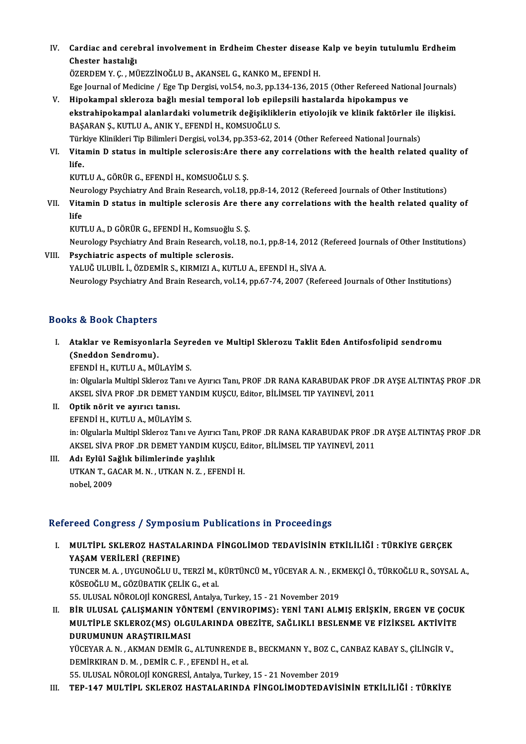IV. Cardiac and cerebral involvement in Erdheim Chester disease Kalp ve beyin tutulumlu Erdheim<br>Chester bastalığı Cardiac and cere<br>Chester hastalığı<br>ÖZEPDEM V.C. Mİ Chester hastalığı<br>ÖZERDEM Y. C. , MÜEZZİNOĞLU B., AKANSEL G., KANKO M., EFENDİ H.

Chester hastalığı<br>ÖZERDEM Y. Ç. , MÜEZZİNOĞLU B., AKANSEL G., KANKO M., EFENDİ H.<br>Ege Journal of Medicine / Ege Tıp Dergisi, vol.54, no.3, pp.134-136, 2015 (Other Refereed National Journals)<br>Hinokampel eklenege bağlı mesia

- ÖZERDEM Y. Ç. , MÜEZZİNOĞLU B., AKANSEL G., KANKO M., EFENDİ H.<br>Ege Journal of Medicine / Ege Tıp Dergisi, vol.54, no.3, pp.134-136, 2015 (Other Refereed Natio<br>V. Hipokampal skleroza bağlı mesial temporal lob epilepsili ha Ege Journal of Medicine / Ege Tıp Dergisi, vol.54, no.3, pp.134-136, 2015 (Other Refereed National Journals)<br>Hipokampal skleroza bağlı mesial temporal lob epilepsili hastalarda hipokampus ve<br>ekstrahipokampal alanlardaki vo Hipokampal skleroza bağlı mesial temporal lob epile<br>ekstrahipokampal alanlardaki volumetrik değişiklikle<br>BAŞARAN Ş., KUTLU A., ANIK Y., EFENDİ H., KOMSUOĞLU S.<br>Türkiye Klinikleri Tin Bilimleri Dergisi vol 24 nn 252,62,20 ekstrahipokampal alanlardaki volumetrik değişikliklerin etiyolojik ve klinik faktörler ile ilişkisi.<br>BAŞARAN Ş., KUTLU A., ANIK Y., EFENDİ H., KOMSUOĞLU S.
- BAŞARAN Ş., KUTLU A., ANIK Y., EFENDİ H., KOMSUOĞLU S.<br>Türkiye Klinikleri Tip Bilimleri Dergisi, vol.34, pp.353-62, 2014 (Other Refereed National Journals)<br>VI. Vitamin D status in multiple sclerosis:Are there any corre Türkiye Klinikleri Tip Bilimleri Dergisi, vol.34, pp.353-62, 2014 (Other Refereed National Journals)<br>Vitamin D status in multiple sclerosis:Are there any correlations with the health relate<br>life.<br>KUTLU A., GÖRÜR G., EFENDİ Vitamin D status in multiple sclerosis:Are the<br>life.<br>KUTLU A., GÖRÜR G., EFENDİ H., KOMSUOĞLU S. Ş.<br>Naurologu Pevchiatry Ard Prein Besearch vol 18.

Neurology Psychiatry And Brain Research, vol.18, pp.8-14, 2012 (Refereed Journals of Other Institutions)

KUTLU A., GÖRÜR G., EFENDİ H., KOMSUOĞLU S. Ş.<br>Neurology Psychiatry And Brain Research, vol.18, pp.8-14, 2012 (Refereed Journals of Other Institutions)<br>VII. Vitamin D status in multiple sclerosis Are there any correlat Neu<br><mark>Vita</mark><br>life<br><sub>VUT</sub> life<br>KUTLU A., D GÖRÜR G., EFENDİ H., Komsuoğlu S. Ş. life<br>KUTLU A., D GÖRÜR G., EFENDİ H., Komsuoğlu S. Ş.<br>Neurology Psychiatry And Brain Research, vol.18, no.1, pp.8-14, 2012 (Refereed Journals of Other Institutions)<br>Psychiatria aspecta of multiple aslapesis

Neurology Psychiatry And Brain Research, vol.18, no.1, pp.8-14, 2012 (F<br>Psychiatric aspects of multiple sclerosis.<br>YALUĞ ULUBİL İ., ÖZDEMİR S., KIRMIZI A., KUTLU A., EFENDİ H., SİVA A.<br>Naurology Psychiatry And Brain Bessar

VIII. Psychiatric aspects of multiple sclerosis.<br>YALUĞ ULUBİL İ., ÖZDEMİR S., KIRMIZI A., KUTLU A., EFENDİ H., SİVA A.

Neurology Psychiatry And Brain Research, vol.14, pp.67-74, 2007 (Refereed Journals of Other Institutions)

## Books&Book Chapters

ooks & Book Chapters<br>I. Ataklar ve Remisyonlarla Seyreden ve Multipl Sklerozu Taklit Eden Antifosfolipid sendromu<br>(Spedden Sendromu) (Soft Chapters<br>Ataklar ve Remisyonla<br>(Sneddon Sendromu).<br>EEENDI H. KUTH IAA MÜ Ataklar ve Remisyonlarla Seyr<br>(Sneddon Sendromu).<br>EFENDİ H., KUTLU A., MÜLAYİM S.<br>in: Olaylarla Multipl Sklarer Tan v

(Sneddon Sendromu).<br>EFENDİ H., KUTLU A., MÜLAYİM S.<br>in: Olgularla Multipl Skleroz Tanı ve Ayırıcı Tanı, PROF .DR RANA KARABUDAK PROF .DR AYŞE ALTINTAŞ PROF .DR<br>AKSEL SİYA PROF .DR DEMET YANDIM KUSCU, Editor, PİLİMSEL TIR Y EFENDİ H., KUTLU A., MÜLAYİM S.<br>in: Olgularla Multipl Skleroz Tanı ve Ayırıcı Tanı, PROF .DR RANA KARABUDAK PROF .I<br>AKSEL SİVA PROF .DR DEMET YANDIM KUŞCU, Editor, BİLİMSEL TIP YAYINEVİ, 2011<br>Ontik nörit ve ayırısı tanısı in: Olgularla Multipl Skleroz Tan<br>AKSEL SİVA PROF .DR DEMET<br>II. Optik nörit ve ayırıcı tanısı.<br>ERENDİ HAKITLI A MÜLAVİN

- AKSEL SİVA PROF .DR DEMET YANDIM KUŞCU, Editor, BİLİMSEL TIP YAYINEVİ, 2011<br>II. Optik nörit ve ayırıcı tanısı.<br>EFENDİ H., KUTLU A., MÜLAYİM S. in: Olgularla Multipl Skleroz Tanı ve Ayırıcı Tanı, PROF .DR RANA KARABUDAK PROF .DR AYŞE ALTINTAŞ PROF .DR EFENDİ H., KUTLU A., MÜLAYİM S.<br>in: Olgularla Multipl Skleroz Tanı ve Ayırıcı Tanı, PROF .DR RANA KARABUDAK PROF .D<br>AKSEL SİVA PROF .DR DEMET YANDIM KUŞCU, Editor, BİLİMSEL TIP YAYINEVİ, 2011<br>Adı Evlül Soğlık bilimlerinde in: Olgularla Multipl Skleroz Tanı ve Ayırıc<br>AKSEL SİVA PROF .DR DEMET YANDIM K<br>III. Adı Eylül Sağlık bilimlerinde yaşlılık<br>IITYAN T. CAGAR M. N. LITYAN N. 7 FF
- AKSEL SİVA PROF .DR DEMET YANDIM KUŞCU, E<br>Adı Eylül Sağlık bilimlerinde yaşlılık<br>UTKAN T., GACAR M. N. , UTKAN N. Z. , EFENDİ H.<br>nebel 2000 III. Adı Eylül Sağlık bilimlerinde yaşlılık<br>UTKAN T., GACAR M. N. , UTKAN N. Z. , EFENDİ H.<br>nobel, 2009

## Refereed Congress / Symposium Publications in Proceedings

efereed Congress / Symposium Publications in Proceedings<br>I. MULTİPL SKLEROZ HASTALARINDA FİNGOLİMOD TEDAVİSİNİN ETKİLİLİĞİ : TÜRKİYE GERÇEK<br>XASAM VERİLERİ (REEINE) YOGA GÖLETÖZŐ / GYMPOZ<br>MULTİPL SKLEROZ HASTAL<br>YAŞAM VERİLERİ (REFINE)<br>TUNGER M A - UYCUNOĞLU U MULTİPL SKLEROZ HASTALARINDA FİNGOLİMOD TEDAVİSİNİN ETKİLİLİĞİ : TÜRKİYE GERÇEK<br>YAŞAM VERİLERİ (REFINE)<br>TUNCER M. A. , UYGUNOĞLU U., TERZİ M., KÜRTÜNCÜ M., YÜCEYAR A. N. , EKMEKÇİ Ö., TÜRKOĞLU R., SOYSAL A.,<br>KÖSEQĞLUM, GÖZ YAŞAM VERİLERİ (REFINE)<br>TUNCER M. A. , UYGUNOĞLU U., TERZİ M., !<br>KÖSEOĞLU M., GÖZÜBATIK ÇELİK G., et al.<br>EE. III USAL NÖPOLOU KONCPESL Artakra TUNCER M. A. , UYGUNOĞLU U., TERZİ M., KÜRTÜNCÜ M., YÜCEYAR A. N. , EK<br>KÖSEOĞLU M., GÖZÜBATIK ÇELİK G., et al.<br>55. ULUSAL NÖROLOJİ KONGRESİ, Antalya, Turkey, 15 - 21 November 2019<br>PİR III USAL GALISMANIN YÖNTEMİ (ENVIRORIM KÖSEOĞLU M., GÖZÜBATIK ÇELİK G., et al.<br>55. ULUSAL NÖROLOJİ KONGRESİ, Antalya, Turkey, 15 - 21 November 2019<br>II. BİR ULUSAL ÇALIŞMANIN YÖNTEMİ (ENVIROPIMS): YENİ TANI ALMIŞ ERİŞKİN, ERGEN VE ÇOCUK 55. ULUSAL NÖROLOJİ KONGRESİ, Antalya, Turkey, 15 - 21 November 2019<br>BİR ULUSAL ÇALIŞMANIN YÖNTEMİ (ENVIROPIMS): YENİ TANI ALMIŞ ERİŞKİN, ERGEN VE ÇOCU<br>MULTİPLE SKLEROZ(MS) OLGULARINDA OBEZİTE, SAĞLIKLI BESLENME VE FİZİKSE

BİR ULUSAL ÇALIŞMANIN YÖN<br>MULTİPLE SKLEROZ(MS) OLGI<br>DURUMUNUN ARAŞTIRILMASI<br><sup>VÜCEVAR A N</sup>-AKMAN DEMİR C MULTİPLE SKLEROZ(MS) OLGULARINDA OBEZİTE, SAĞLIKLI BESLENME VE FİZİKSEL AKTİVİTE<br>DURUMUNUN ARAŞTIRILMASI<br>YÜCEYAR A. N. , AKMAN DEMİR G., ALTUNRENDE B., BECKMANN Y., BOZ C., CANBAZ KABAY S., ÇİLİNGİR V.,<br>DEMİRKIRAN D. M., D

D<mark>URUMUNUN ARAŞTIRILMASI</mark><br>YÜCEYAR A. N. , AKMAN DEMİR G., ALTUNRENDE<br>DEMİRKIRAN D. M. , DEMİR C. F. , EFENDİ H., et al.<br>EE. III USAL NÖROLOU KONGRESI, Antalya Turkay YÜCEYAR A. N. , AKMAN DEMİR G., ALTUNRENDE B., BECKMANN Y., BOZ C., (<br>DEMİRKIRAN D. M. , DEMİR C. F. , EFENDİ H., et al.<br>55. ULUSAL NÖROLOJİ KONGRESİ, Antalya, Turkey, 15 - 21 November 2019<br>TER 147 MIJI TİRI, SKI EROZ HAST DEMİRKIRAN D. M. , DEMİR C. F. , EFENDİ H., et al.<br>55. ULUSAL NÖROLOJİ KONGRESİ, Antalya, Turkey, 15 - 21 November 2019<br>III. TEP-147 MULTİPL SKLEROZ HASTALARINDA FİNGOLİMODTEDAVİSİNİN ETKİLİLİĞİ : TÜRKİYE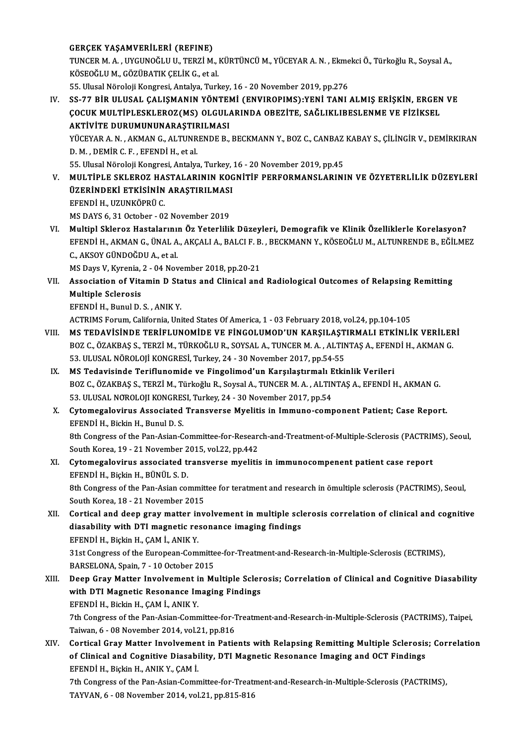## GERÇEK YAŞAMVERİLERİ (REFINE)

GERÇEK YAŞAMVERİLERİ (REFINE)<br>TUNCER M. A. , UYGUNOĞLU U., TERZİ M., KÜRTÜNCÜ M., YÜCEYAR A. N. , Ekmekci Ö., Türkoğlu R., Soysal A.,<br>KÖSEQĞLU M. GÖZÜRATIK CELİK C. et al GERÇEK YAŞAMVERİLERİ (REFINE)<br>TUNCER M. A. , UYGUNOĞLU U., TERZİ M., !<br>KÖSEOĞLU M., GÖZÜBATIK ÇELİK G., et al.<br>EE. Illucal Nöroloji Kongresi, Antalya Turl TUNCER M. A. , UYGUNOĞLU U., TERZİ M., KÜRTÜNCÜ M., YÜCEYAR A. N. , Ekme<br>KÖSEOĞLU M., GÖZÜBATIK ÇELİK G., et al.<br>55. Ulusal Nöroloji Kongresi, Antalya, Turkey, 16 - 20 November 2019, pp.276<br>SS. 77 PİP III USAL, GALISMANIN

KÖSEOĞLU M., GÖZÜBATIK ÇELİK G., et al.<br>55. Ulusal Nöroloji Kongresi, Antalya, Turkey, 16 - 20 November 2019, pp.276<br>IV. SS-77 BİR ULUSAL ÇALIŞMANIN YÖNTEMİ (ENVIROPIMS):YENİ TANI ALMIŞ ERİŞKİN, ERGEN VE<br>COCUK MULTIPLE 55. Ulusal Nöroloji Kongresi, Antalya, Turkey, 16 - 20 November 2019, pp.276<br>SS-77 BİR ULUSAL ÇALIŞMANIN YÖNTEMİ (ENVIROPIMS):YENİ TANI ALMIŞ ERİŞKİN, ERGEN<br>ÇOCUK MULTİPLESKLEROZ(MS) OLGULARINDA OBEZİTE, SAĞLIKLIBESLENME V SS-77 BİR ULUSAL ÇALIŞMANIN YÖNTEI<br>ÇOCUK MULTİPLESKLEROZ(MS) OLGUL*ı*<br>AKTİVİTE DURUMUNUNARAŞTIRILMASI<br>VÜCEVARA NA*NA*MAN CALTINPENDE B ÇOCUK MULTİPLESKLEROZ(MS) OLGULARINDA OBEZİTE, SAĞLIKLIBESLENME VE FİZİKSEL<br>AKTİVİTE DURUMUNUNARAŞTIRILMASI<br>YÜCEYAR A. N. , AKMAN G., ALTUNRENDE B., BECKMANN Y., BOZ C., CANBAZ KABAY S., ÇİLİNGİR V., DEMİRKIRAN<br>D. M. , DEM AKTİVİTE DURUMUNUNARAŞTIF<br>YÜCEYAR A. N. , AKMAN G., ALTUNR<br>D. M. , DEMİR C. F. , EFENDİ H., et al.<br>EE Ulucal Nöroloji Kongresi, Antalya

YÜCEYAR A. N. , AKMAN G., ALTUNRENDE B., BECKMANN Y., BOZ C., CANBAZ<br>D. M. , DEMİR C. F. , EFENDİ H., et al.<br>55. Ulusal Nöroloji Kongresi, Antalya, Turkey, 16 - 20 November 2019, pp.45<br>MIU TİBL E SKLEROZ HASTALARININ KOCNİ

- D. M., DEMİR C. F., EFENDİ H., et al.<br>55. Ulusal Nöroloji Kongresi, Antalya, Turkey, 16 20 November 2019, pp.45<br>V. MULTİPLE SKLEROZ HASTALARININ KOGNİTİF PERFORMANSLARININ VE ÖZYETERLİLİK DÜZEYLERİ<br>İlzepindeki etkisi 55. Ulusal Nöroloji Kongresi, Antalya, Turkey, <mark>:</mark><br>MULTİPLE SKLEROZ HASTALARININ KOG<br>ÜZERİNDEKİ ETKİSİNİN ARAŞTIRILMASI<br>EFFNDİ U. UZUNKÖPPÜ C MULTİPLE SKLEROZ HA<br>ÜZERİNDEKİ ETKİSİNİN<br>EFENDİ H., UZUNKÖPRÜ C.<br>MS DAVS 6-21 Ostobor - 02 ÜZERİNDEKİ ETKİSİNİN ARAŞTIRILMASI<br>EFENDİ H., UZUNKÖPRÜ C.<br>MS DAYS 6, 31 October - 02 November 2019
- VI. Multipl Skleroz Hastalarının Öz Yeterlilik Düzeyleri, Demografik ve Klinik Özelliklerle Korelasyon? MS DAYS 6, 31 October - 02 November 2019<br>Multipl Skleroz Hastalarının Öz Yeterlilik Düzeyleri, Demografik ve Klinik Özelliklerle Korelasyon?<br>EFENDİ H., AKMAN G., ÜNAL A., AKÇALI A., BALCI F. B. , BECKMANN Y., KÖSEOĞLU M., Multipl Skleroz Hastalarını<br>EFENDİ H., AKMAN G., ÜNAL A<br>C., AKSOY GÜNDOĞDU A., et al.<br>MS Dava V. Kunania, 2., 04 Nav EFENDİ H., AKMAN G., ÜNAL A., AKÇALI A., BALCI F. B.<br>C., AKSOY GÜNDOĞDU A., et al.<br>MS Days V, Kyrenia, 2 - 04 November 2018, pp.20-21<br>Assosiation of Vitamin D. Status and Glinisal and

- C., AKSOY GÜNDOĞDU A., et al.<br>MS Days V, Kyrenia, 2 04 November 2018, pp.20-21<br>VII. Association of Vitamin D Status and Clinical and Radiological Outcomes of Relapsing Remitting<br>Multiple Sclenesis MS Days V, Kyrenia,<br>Association of Vita<br>Multiple Sclerosis<br>EEENDI H, Bunul D Association of Vitamin D Sta<br>Multiple Sclerosis<br>EFENDİ H., Bunul D. S., ANIK Y.<br>ACTPIMS Forum Colifornia Uni Multiple Sclerosis<br>EFENDİ H., Bunul D. S. , ANIK Y.<br>ACTRIMS Forum, California, United States Of America, 1 - 03 February 2018, vol.24, pp.104-105
	-

- EFENDİ H., Bunul D. S., ANIK Y.<br>ACTRIMS Forum, California, United States Of America, 1 03 February 2018, vol.24, pp.104-105<br>VIII. MS TEDAVİSİNDE TERİFLUNOMİDE VE FİNGOLUMOD'UN KARŞILAŞTIRMALI ETKİNLİK VERİLERİ<br>POZ C. ÖZA ACTRIMS Forum, California, United States Of America, 1 - 03 February 2018, vol.24, pp.104-105<br>MS TEDAVİSİNDE TERİFLUNOMİDE VE FİNGOLUMOD'UN KARŞILAŞTIRMALI ETKİNLİK VERİLEF<br>BOZ C., ÖZAKBAŞ S., TERZİ M., TÜRKOĞLU R., SOYSAL MS TEDAVISINDE TERIFLUNOMIDE VE FINGOLUMOD'UN KARŞILAŞT<br>BOZ C., ÖZAKBAŞ S., TERZİ M., TÜRKOĞLU R., SOYSAL A., TUNCER M. A. , ALTIN<br>53. ULUSAL NÖROLOJI KONGRESİ, Turkey, 24 - 30 November 2017, pp.54-55<br>MS Tedevisinde Terifl BOZ C., ÖZAKBAŞ S., TERZİ M., TÜRKOĞLU R., SOYSAL A., TUNCER M. A., ALTINTAŞ A., EFEN<br>53. ULUSAL NÖROLOJİ KONGRESİ, Turkey, 24 - 30 November 2017, pp.54-55<br>IX. MS Tedavisinde Teriflunomide ve Fingolimod'un Karşılaştırmalı
- 53. ULUSAL NÖROLOJİ KONGRESİ, Turkey, 24 30 November 2017, pp.54-55<br>MS Tedavisinde Teriflunomide ve Fingolimod'un Karşılaştırmalı Etkinlik Verileri<br>BOZ C., ÖZAKBAŞ S., TERZİ M., Türkoğlu R., Soysal A., TUNCER M.A., ALTIN MS Tedavisinde Teriflunomide ve Fingolimod'un Karşılaştırmalı E<br>BOZ C., ÖZAKBAŞ S., TERZİ M., Türkoğlu R., Soysal A., TUNCER M. A. , ALTIN<br>53. ULUSAL NOROLOJI KONGRESI, Turkey, 24 - 30 November 2017, pp.54<br>Cutamagalayinus BOZ C., ÖZAKBAŞ S., TERZİ M., Türkoğlu R., Soysal A., TUNCER M. A. , ALTINTAŞ A., EFENDİ H., AKMAN G.<br>53. ULUSAL NOROLOJI KONGRESI, Turkey, 24 - 30 November 2017, pp.54<br>X. Cytomegalovirus Associated Transverse Myelitis in
- 53. ULUSAL NOROLOJI KONGRES<br>Cytomegalovirus Associated<br>EFENDİ H., Bickin H., Bunul D. S.<br><sup>9th</sup> Congress of the Ban Asian C Cytomegalovirus Associated Transverse Myelitis in Immuno-component Patient; Case Report.<br>EFENDİ H., Bickin H., Bunul D. S.<br>8th Congress of the Pan-Asian-Committee-for-Research-and-Treatment-of-Multiple-Sclerosis (PACTRIMS)

EFENDİ H., Bickin H., Bunul D. S.<br>8th Congress of the Pan-Asian-Committee-for-Researe<br>South Korea, 19 - 21 November 2015, vol.22, pp.442<br>Cytameraleyinya associated transverse myelitic 8th Congress of the Pan-Asian-Committee-for-Research-and-Treatment-of-Multiple-Sclerosis (PACTRIMS), Seoul,<br>South Korea, 19 - 21 November 2015, vol.22, pp.442<br>XI. Cytomegalovirus associated transverse myelitis in immunocom

South Korea, 19 - 21 November 2<br>Cytomegalovirus associated the<br>EFENDİ H., Biçkin H., BÜNÜL S. D.<br><sup>9th Congress of the Ben</sup> Asian seu Cytomegalovirus associated transverse myelitis in immunocompenent patient case report<br>EFENDİ H., Biçkin H., BÜNÜL S. D.<br>8th Congress of the Pan-Asian committee for teratment and research in ömultiple sclerosis (PACTRIMS),

EFENDİ H., Biçkin H., BÜNÜL S. D.<br>8th Congress of the Pan-Asian commit<br>South Korea, 18 - 21 November 2015<br>Contical and deep grou matter inu 8th Congress of the Pan-Asian committee for teratment and research in ömultiple sclerosis (PACTRIMS), Seoul,<br>South Korea, 18 - 21 November 2015<br>XII. Cortical and deep gray matter involvement in multiple sclerosis correlati

South Korea, 18 - 21 November 2015<br>Cortical and deep gray matter involvement in multiple scl<br>diasability with DTI magnetic resonance imaging findings<br>EFFNDLH, Pickin H. CAM LANIK V Cortical and deep gray matter in<br>diasability with DTI magnetic re:<br>EFENDİ H., Biçkin H., ÇAM İ., ANIK Y.<br>21st Congress of the European Com diasability with DTI magnetic resonance imaging findings<br>EFENDİ H., Biçkin H., ÇAM İ., ANIK Y.<br>31st Congress of the European-Committee-for-Treatment-and-Research-in-Multiple-Sclerosis (ECTRIMS),

BARSELONA, Spain, 7 - 10 October 2015

- 31st Congress of the European-Committee-for-Treatment-and-Research-in-Multiple-Sclerosis (ECTRIMS),<br>BARSELONA, Spain, 7 10 October 2015<br>XIII. Deep Gray Matter Involvement in Multiple Sclerosis; Correlation of Clinical an BARSELONA, Spain, 7 - 10 October 2015<br>Deep Gray Matter Involvement in Multiple Scler<br>with DTI Magnetic Resonance Imaging Findings<br>FEENDLU Pickin H. CAML ANIV V Deep Gray Matter Involvement i<br>with DTI Magnetic Resonance In<br>EFENDİ H., Bickin H., ÇAM İ., ANIK Y.<br>7th Congrees of the Ban Asian Comp with DTI Magnetic Resonance Imaging Findings<br>EFENDİ H., Bickin H., ÇAM İ., ANIK Y.<br>7th Congress of the Pan-Asian-Committee-for-Treatment-and-Research-in-Multiple-Sclerosis (PACTRIMS), Taipei,<br>Taivran 6, .08 November 2014, EFENDİ H., Bickin H., ÇAM İ., ANIK Y.<br>7th Congress of the Pan-Asian-Committee-for-1<br>Taiwan, 6 - 08 November 2014, vol.21, pp.816<br>Cortisel Crey Metter Involvement in Petie
- Th Congress of the Pan-Asian-Committee-for-Treatment-and-Research-in-Multiple-Sclerosis (PACTRIMS), Taipei,<br>Taiwan, 6 08 November 2014, vol.21, pp.816<br>XIV. Cortical Gray Matter Involvement in Patients with Relapsing Remi Taiwan, 6 - 08 November 2014, vol.21, pp.816<br>Cortical Gray Matter Involvement in Patients with Relapsing Remitting Multiple Sclerosis<br>of Clinical and Cognitive Diasability, DTI Magnetic Resonance Imaging and OCT Findings<br>E of Clinical and Cognitive Diasability, DTI Magnetic Resonance Imaging and OCT Findings EFENDİ H., Biçkin H., ANIK Y., ÇAM İ. of Clinical and Cognitive Diasability, DTI Magnetic Resonance Imaging and OCT Findings<br>EFENDİ H., Biçkin H., ANIK Y., ÇAM İ.<br>7th Congress of the Pan-Asian-Committee-for-Treatment-and-Research-in-Multiple-Sclerosis (PACTRIM

EFENDİ H., Biçkin H., ANIK Y., ÇAM İ.<br>7th Congress of the Pan-Asian-Committee-for-Treatı<br>TAYVAN, 6 - 08 November 2014, vol.21, pp.815-816